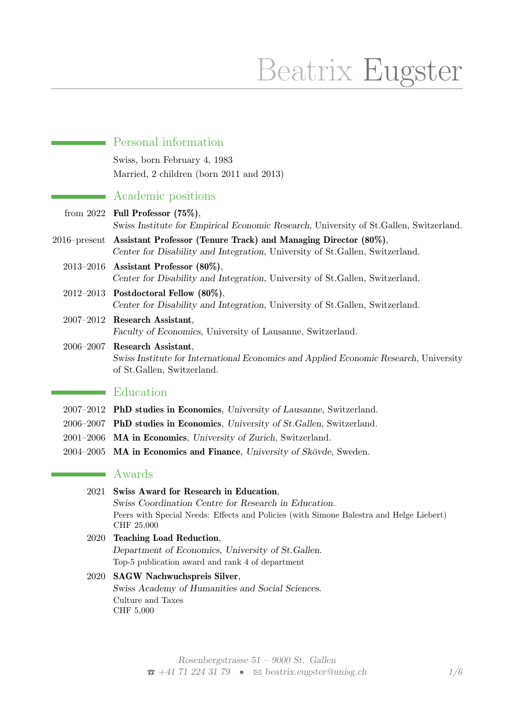# Beatrix Eugster

|                 | Personal information                                                                                                                                 |
|-----------------|------------------------------------------------------------------------------------------------------------------------------------------------------|
|                 | Swiss, born February 4, 1983                                                                                                                         |
|                 | Married, 2 children (born 2011 and 2013)                                                                                                             |
|                 | Academic positions                                                                                                                                   |
|                 | from 2022 Full Professor $(75\%)$ ,<br>Swiss Institute for Empirical Economic Research, University of St.Gallen, Switzerland.                        |
| $2016$ -present | Assistant Professor (Tenure Track) and Managing Director (80%),<br>Center for Disability and Integration, University of St. Gallen, Switzerland.     |
| $2013 - 2016$   | Assistant Professor $(80\%),$<br>Center for Disability and Integration, University of St. Gallen, Switzerland.                                       |
|                 | $2012-2013$ Postdoctoral Fellow $(80\%)$ ,<br>Center for Disability and Integration, University of St. Gallen, Switzerland.                          |
| $2007 - 2012$   | <b>Research Assistant,</b><br>Faculty of Economics, University of Lausanne, Switzerland.                                                             |
|                 | 2006-2007 Research Assistant,<br>Swiss Institute for International Economics and Applied Economic Research, University<br>of St.Gallen, Switzerland. |
|                 | Education                                                                                                                                            |
|                 | 2007–2012 PhD studies in Economics, University of Lausanne, Switzerland.                                                                             |
|                 | 2006-2007 PhD studies in Economics, University of St. Gallen, Switzerland.                                                                           |
|                 | 2001–2006 MA in Economics, University of Zurich, Switzerland.                                                                                        |

2004–2005 MA in Economics and Finance, University of Skövde, Sweden.

## **Awards**

# 2021 Swiss Award for Research in Education,

Swiss Coordination Centre for Research in Education. Peers with Special Needs: Effects and Policies (with Simone Balestra and Helge Liebert) CHF 25,000

## 2020 Teaching Load Reduction, Department of Economics, University of St.Gallen. Top-5 publication award and rank 4 of department

### 2020 SAGW Nachwuchspreis Silver, Swiss Academy of Humanities and Social Sciences. Culture and Taxes CHF 5,000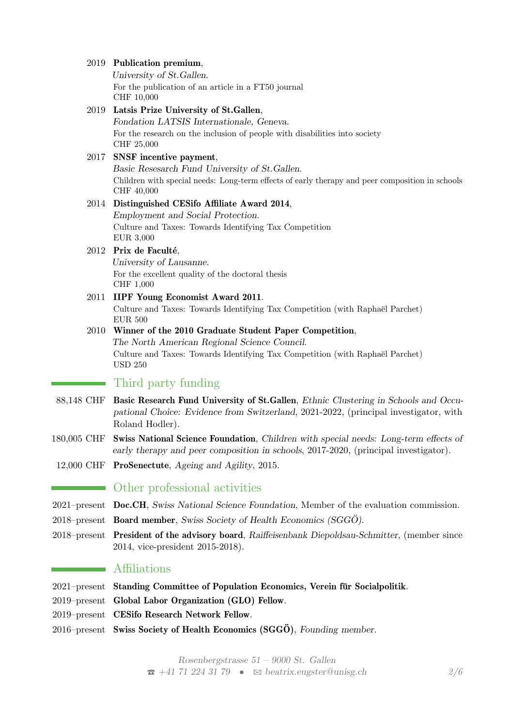#### 2019 Publication premium,

University of St.Gallen. For the publication of an article in a FT50 journal CHF 10,000

2019 Latsis Prize University of St.Gallen, Fondation LATSIS Internationale, Geneva. For the research on the inclusion of people with disabilities into society CHF 25,000

### 2017 SNSF incentive payment,

Basic Resesarch Fund University of St.Gallen. Children with special needs: Long-term effects of early therapy and peer composition in schools CHF 40,000

#### 2014 Distinguished CESifo Affiliate Award 2014,

Employment and Social Protection. Culture and Taxes: Towards Identifying Tax Competition EUR 3,000

#### 2012 Prix de Faculté,

University of Lausanne. For the excellent quality of the doctoral thesis CHF 1,000

2011 IIPF Young Economist Award 2011. Culture and Taxes: Towards Identifying Tax Competition (with Raphaël Parchet) EUR 500

#### 2010 Winner of the 2010 Graduate Student Paper Competition, The North American Regional Science Council. Culture and Taxes: Towards Identifying Tax Competition (with Raphaël Parchet) USD 250

## **Third party funding**

- 88,148 CHF Basic Research Fund University of St.Gallen, Ethnic Clustering in Schools and Occupational Choice: Evidence from Switzerland, 2021-2022, (principal investigator, with Roland Hodler).
- 180,005 CHF Swiss National Science Foundation, Children with special needs: Long-term effects of early therapy and peer composition in schools, 2017-2020, (principal investigator).
- 12,000 CHF ProSenectute, Ageing and Agility, 2015.

#### Other professional activities

- 2021–present Doc.CH, Swiss National Science Foundation, Member of the evaluation commission.
- $2018$ –present Board member, Swiss Society of Health Economics (SGG $\ddot{o}$ ).
- 2018–present President of the advisory board, Raiffeisenbank Diepoldsau-Schmitter, (member since 2014, vice-president 2015-2018).

## **Affiliations**

- 2021–present Standing Committee of Population Economics, Verein für Socialpolitik.
- 2019–present Global Labor Organization (GLO) Fellow.
- 2019–present CESifo Research Network Fellow.
- $2016$ –present Swiss Society of Health Economics (SGGÖ), Founding member.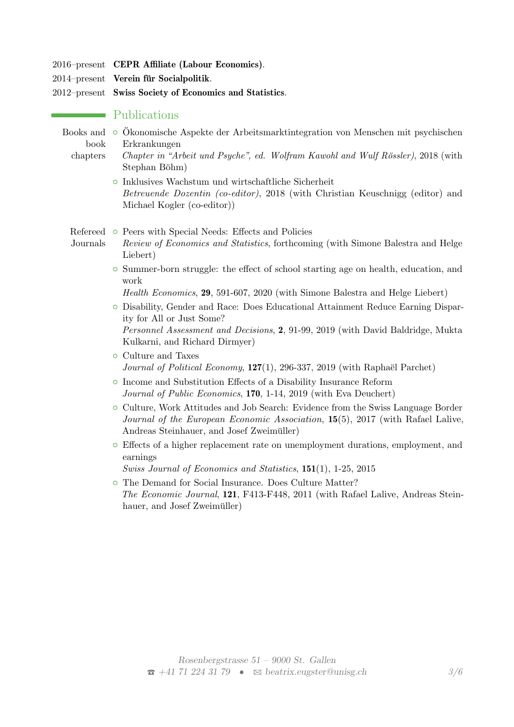- 2016–present CEPR Affiliate (Labour Economics).
- $2014$ –present Verein für Socialpolitik.
- 2012–present Swiss Society of Economics and Statistics.

## Publications

- Books and o Ökonomische Aspekte der Arbeitsmarktintegration von Menschen mit psychischen book Erkrankungen
	- chapters Chapter in "Arbeit und Psyche", ed. Wolfram Kawohl and Wulf Rössler),  $2018$  (with Stephan Böhm)
		- { Inklusives Wachstum und wirtschaftliche Sicherheit Betreuende Dozentin (co-editor), 2018 (with Christian Keuschnigg (editor) and Michael Kogler (co-editor))

Refereed o Peers with Special Needs: Effects and Policies

- Journals Review of Economics and Statistics, forthcoming (with Simone Balestra and Helge Liebert)
	- $\circ$  Summer-born struggle: the effect of school starting age on health, education, and work

Health Economics, 29, 591-607, 2020 (with Simone Balestra and Helge Liebert)

- { Disability, Gender and Race: Does Educational Attainment Reduce Earning Disparity for All or Just Some? Personnel Assessment and Decisions, 2, 91-99, 2019 (with David Baldridge, Mukta Kulkarni, and Richard Dirmyer)
- { Culture and Taxes Journal of Political Economy,  $127(1)$ , 296-337, 2019 (with Raphaël Parchet)
- { Income and Substitution Effects of a Disability Insurance Reform Journal of Public Economics, 170, 1-14, 2019 (with Eva Deuchert)
- { Culture, Work Attitudes and Job Search: Evidence from the Swiss Language Border Journal of the European Economic Association, 15(5), 2017 (with Rafael Lalive, Andreas Steinhauer, and Josef Zweimüller)
- $\circ$  Effects of a higher replacement rate on unemployment durations, employment, and earnings

Swiss Journal of Economics and Statistics, 151(1), 1-25, 2015

• The Demand for Social Insurance. Does Culture Matter? The Economic Journal, 121, F413-F448, 2011 (with Rafael Lalive, Andreas Steinhauer, and Josef Zweimüller)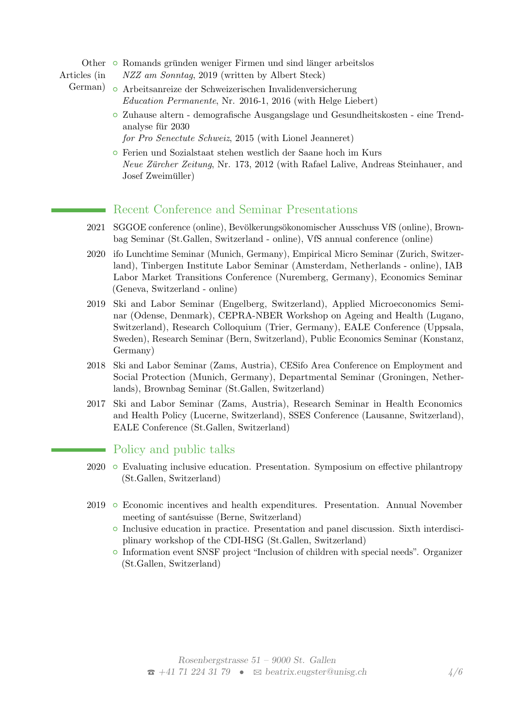Other o Romands gründen weniger Firmen und sind länger arbeitslos

- Articles (in NZZ am Sonntag, 2019 (written by Albert Steck)
	- German) { Arbeitsanreize der Schweizerischen Invalidenversicherung Education Permanente, Nr. 2016-1, 2016 (with Helge Liebert)
		- { Zuhause altern demografische Ausgangslage und Gesundheitskosten eine Trendanalyse für 2030
			- for Pro Senectute Schweiz, 2015 (with Lionel Jeanneret)
		- { Ferien und Sozialstaat stehen westlich der Saane hoch im Kurs Neue Zürcher Zeitung, Nr. 173, 2012 (with Rafael Lalive, Andreas Steinhauer, and Josef Zweimüller)

## Recent Conference and Seminar Presentations

- 2021 SGGOE conference (online), Bevölkerungsökonomischer Ausschuss VfS (online), Brownbag Seminar (St.Gallen, Switzerland - online), VfS annual conference (online)
- 2020 ifo Lunchtime Seminar (Munich, Germany), Empirical Micro Seminar (Zurich, Switzerland), Tinbergen Institute Labor Seminar (Amsterdam, Netherlands - online), IAB Labor Market Transitions Conference (Nuremberg, Germany), Economics Seminar (Geneva, Switzerland - online)
- 2019 Ski and Labor Seminar (Engelberg, Switzerland), Applied Microeconomics Seminar (Odense, Denmark), CEPRA-NBER Workshop on Ageing and Health (Lugano, Switzerland), Research Colloquium (Trier, Germany), EALE Conference (Uppsala, Sweden), Research Seminar (Bern, Switzerland), Public Economics Seminar (Konstanz, Germany)
- 2018 Ski and Labor Seminar (Zams, Austria), CESifo Area Conference on Employment and Social Protection (Munich, Germany), Departmental Seminar (Groningen, Netherlands), Brownbag Seminar (St.Gallen, Switzerland)
- 2017 Ski and Labor Seminar (Zams, Austria), Research Seminar in Health Economics and Health Policy (Lucerne, Switzerland), SSES Conference (Lausanne, Switzerland), EALE Conference (St.Gallen, Switzerland)

## Policy and public talks

- $2020$   $\circ$  Evaluating inclusive education. Presentation. Symposium on effective philantropy (St.Gallen, Switzerland)
- 2019 { Economic incentives and health expenditures. Presentation. Annual November meeting of santésuisse (Berne, Switzerland)
	- $\circ$  Inclusive education in practice. Presentation and panel discussion. Sixth interdisciplinary workshop of the CDI-HSG (St.Gallen, Switzerland)
	- { Information event SNSF project "Inclusion of children with special needs". Organizer (St.Gallen, Switzerland)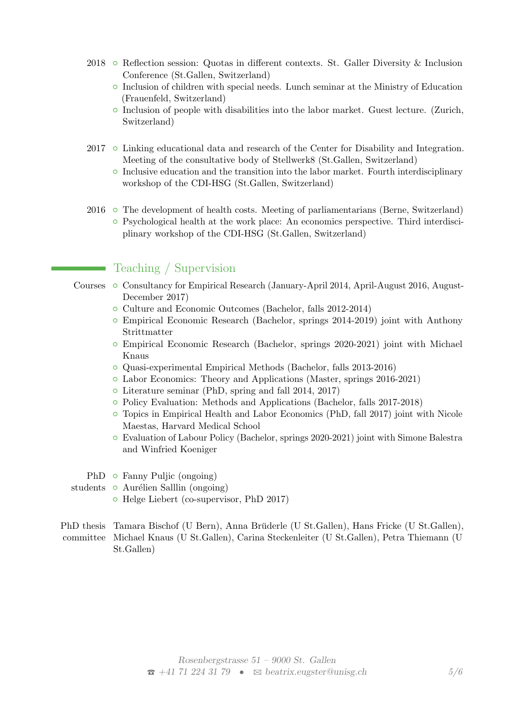- 2018  $\circ$  Reflection session: Quotas in different contexts. St. Galler Diversity & Inclusion Conference (St.Gallen, Switzerland)
	- $\circ$  Inclusion of children with special needs. Lunch seminar at the Ministry of Education (Frauenfeld, Switzerland)
	- $\circ$  Inclusion of people with disabilities into the labor market. Guest lecture. (Zurich, Switzerland)
- $2017$   $\circ$  Linking educational data and research of the Center for Disability and Integration. Meeting of the consultative body of Stellwerk8 (St.Gallen, Switzerland)
	- $\circ$  Inclusive education and the transition into the labor market. Fourth interdisciplinary workshop of the CDI-HSG (St.Gallen, Switzerland)
- $2016$   $\circ$  The development of health costs. Meeting of parliamentarians (Berne, Switzerland) { Psychological health at the work place: An economics perspective. Third interdisciplinary workshop of the CDI-HSG (St.Gallen, Switzerland)

# Teaching / Supervision

- Courses  $\circ$  Consultancy for Empirical Research (January-April 2014, April-August 2016, August-December 2017)
	- Culture and Economic Outcomes (Bachelor, falls 2012-2014)
	- $\circ$  Empirical Economic Research (Bachelor, springs 2014-2019) joint with Anthony Strittmatter
	- $\circ$  Empirical Economic Research (Bachelor, springs 2020-2021) joint with Michael Knaus
	- { Quasi-experimental Empirical Methods (Bachelor, falls 2013-2016)
	- { Labor Economics: Theory and Applications (Master, springs 2016-2021)
	- Literature seminar (PhD, spring and fall 2014, 2017)
	- { Policy Evaluation: Methods and Applications (Bachelor, falls 2017-2018)
	- $\circ$  Topics in Empirical Health and Labor Economics (PhD, fall 2017) joint with Nicole Maestas, Harvard Medical School
	- { Evaluation of Labour Policy (Bachelor, springs 2020-2021) joint with Simone Balestra and Winfried Koeniger
	- PhD Fanny Puljic (ongoing)
- students Aurélien Salllin (ongoing)
	- Helge Liebert (co-supervisor, PhD 2017)
- PhD thesis Tamara Bischof (U Bern), Anna Brüderle (U St.Gallen), Hans Fricke (U St.Gallen), committee Michael Knaus (U St.Gallen), Carina Steckenleiter (U St.Gallen), Petra Thiemann (U St.Gallen)